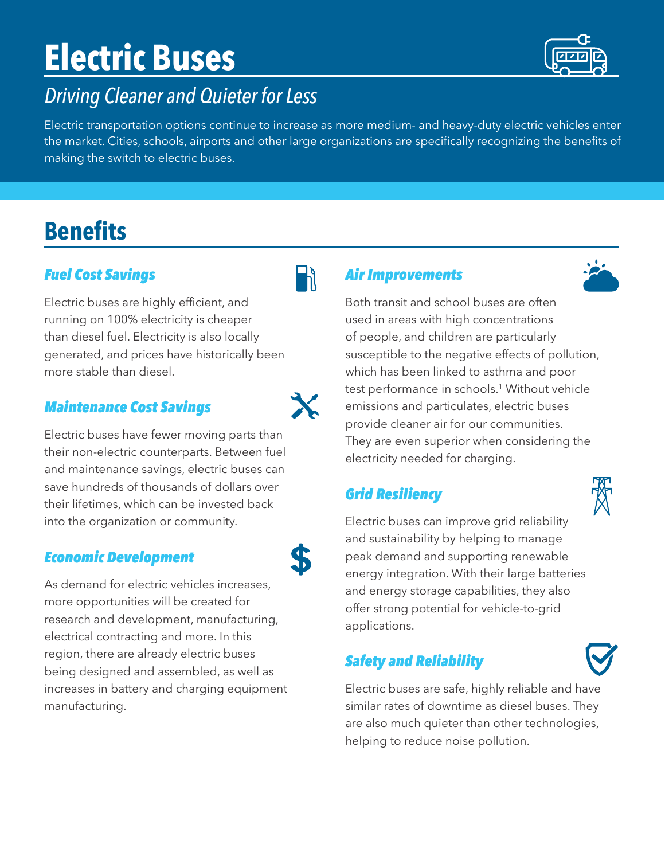# **Electric Buses**

### *Driving Cleaner and Quieter for Less*

Electric transportation options continue to increase as more medium- and heavy-duty electric vehicles enter the market. Cities, schools, airports and other large organizations are specifically recognizing the benefits of making the switch to electric buses.

## **Benefits**

#### *Fuel Cost Savings*

Electric buses are highly efficient, and running on 100% electricity is cheaper than diesel fuel. Electricity is also locally generated, and prices have historically been more stable than diesel.

#### *Maintenance Cost Savings*

Electric buses have fewer moving parts than their non-electric counterparts. Between fuel and maintenance savings, electric buses can save hundreds of thousands of dollars over their lifetimes, which can be invested back into the organization or community.

#### *Economic Development*

As demand for electric vehicles increases, more opportunities will be created for research and development, manufacturing, electrical contracting and more. In this region, there are already electric buses being designed and assembled, as well as increases in battery and charging equipment manufacturing.

#### *Air Improvements*

Both transit and school buses are often used in areas with high concentrations of people, and children are particularly susceptible to the negative effects of pollution, which has been linked to asthma and poor test performance in schools.<sup>1</sup> Without vehicle emissions and particulates, electric buses provide cleaner air for our communities. They are even superior when considering the electricity needed for charging.

#### *Grid Resiliency*

Electric buses can improve grid reliability and sustainability by helping to manage peak demand and supporting renewable energy integration. With their large batteries and energy storage capabilities, they also offer strong potential for vehicle-to-grid applications.

#### *Safety and Reliability*

Electric buses are safe, highly reliable and have similar rates of downtime as diesel buses. They are also much quieter than other technologies, helping to reduce noise pollution.